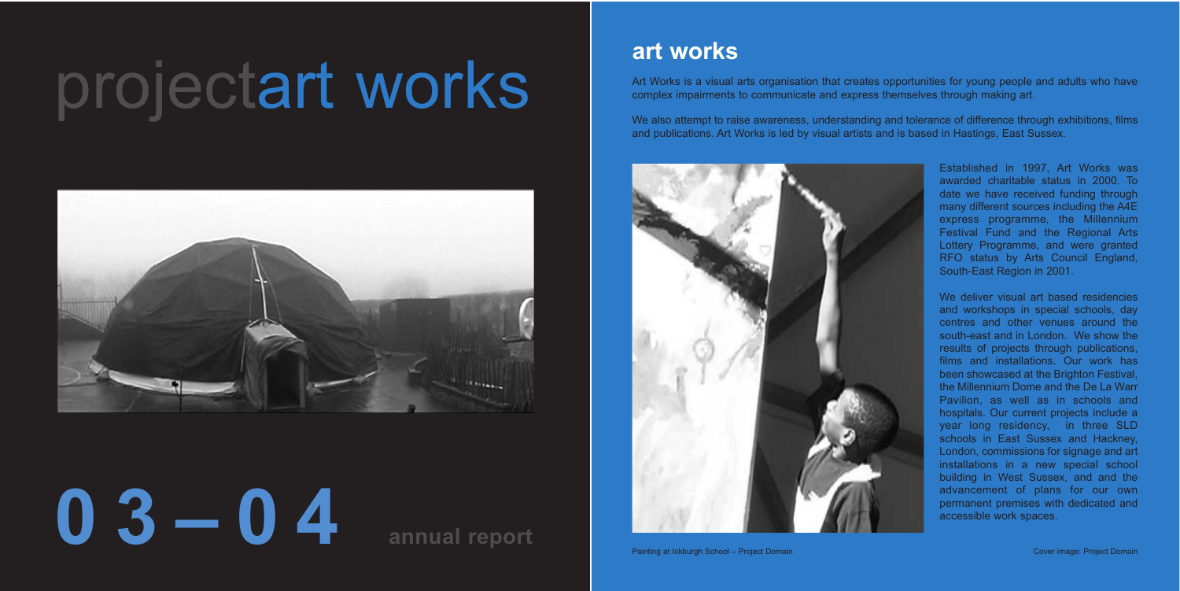# projectart works



# **03–04 annual report**

## **art works**

Art Works is a visual arts organisation that creates opportunities for young people and adults who have complex impairments to communicate and express themselves through making art.

We also attempt to raise awareness, understanding and tolerance of difference through exhibitions, films and publications. Art Works is led by visual artists and is based in Hastings, East Sussex.



Established in 1997, Art Works was awarded charitable status in 2000. To date we have received funding through many different sources including the A4E express programme, the Millennium Festival Fund and the Regional Arts Lottery Programme, and were granted RFO status by Arts Council England, South-East Region in 2001.

We deliver visual art based residencies and workshops in special schools, day centres and other venues around the south-east and in London. We show the results of projects through publications, films and installations. Our work has been showcased at the Brighton Festival, the Millennium Dome and the De La Warr Pavilion, as well as in schools and hospitals. Our current projects include a year long residency, in three SLD schools in East Sussex and Hackney, London, commissions for signage and art installations in a new special school building in West Sussex, and and the advancement of plans for our own permanent premises with dedicated and accessible work spaces.

Painting at Ickburgh School – Project Domain Cover image: Project Domain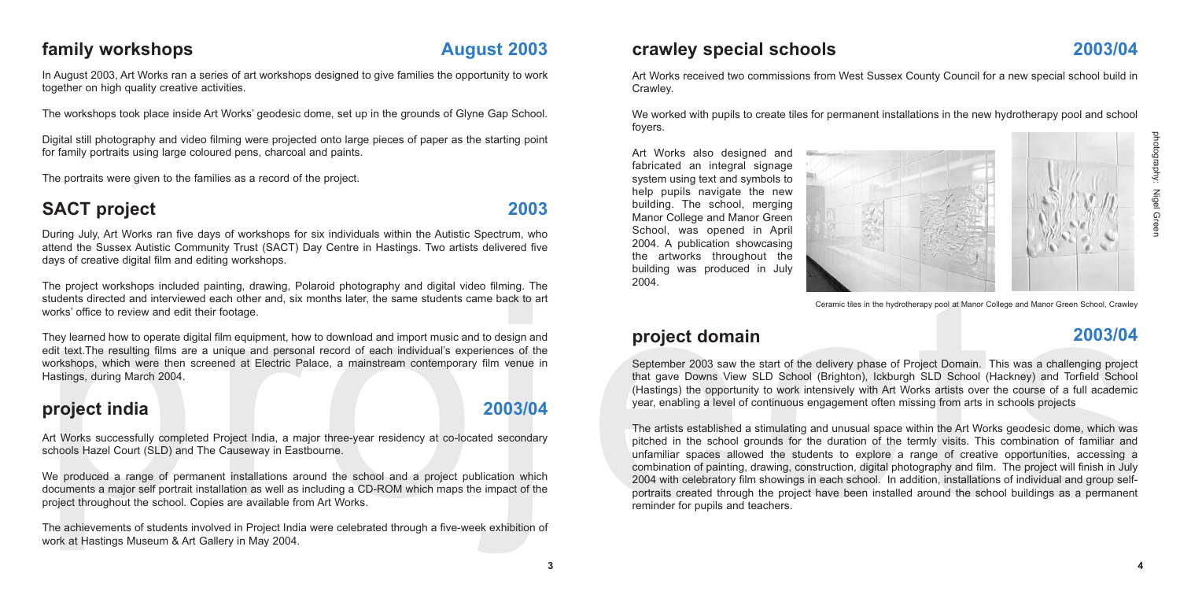Art Works received two commissions from West Sussex County Council for a new special school build in Crawley.

We worked with pupils to create tiles for permanent installations in the new hydrotherapy pool and school foyers.

Art Works also designed and fabricated an integral signage system using text and symbols to help pupils navigate the new building. The school, merging Manor College and Manor Green School, was opened in April 2004. A publication showcasing the artworks throughout the building was produced in July 2004.

#### **crawley special schools 2003/04**

#### **project domain 2003/04**

September 2003 saw the start of the delivery phase of Project Domain. This was a challenging project that gave Downs View SLD School (Brighton), Ickburgh SLD School (Hackney) and Torfield School (Hastings) the opportunity to work intensively with Art Works artists over the course of a full academic year, enabling a level of continuous engagement often missing from arts in schools projects

They between the station of station and project which are the station of the station of the station of the station of the station of the station of the station of the station of the station of the station of the station of The artists established a stimulating and unusual space within the Art Works geodesic dome, which was pitched in the school grounds for the duration of the termly visits. This combination of familiar and unfamiliar spaces allowed the students to explore a range of creative opportunities, accessing a combination of painting, drawing, construction, digital photography and film. The project will finish in July 2004 with celebratory film showings in each school. In addition, installations of individual and group selfportraits created through the project have been installed around the school buildings as a permanent reminder for pupils and teachers.



We produced a range of permanent installations around the school and a project publication which documents a major self portrait installation as well as including a CD-ROM which maps the impact of the project throughout the school. Copies are available from Art Works.



Ceramic tiles in the hydrotherapy pool at Manor College and Manor Green School, Crawley

Art Works successfully completed Project India, a major three-year residency at co-located secondary schools Hazel Court (SLD) and The Causeway in Eastbourne.

The achievements of students involved in Project India were celebrated through a five-week exhibition of work at Hastings Museum & Art Gallery in May 2004.

#### **project india 2003/04**

#### **family workshops August 2003**

In August 2003, Art Works ran a series of art workshops designed to give families the opportunity to work together on high quality creative activities.

The workshops took place inside Art Works' geodesic dome, set up in the grounds of Glyne Gap School.

Digital still photography and video filming were projected onto large pieces of paper as the starting point for family portraits using large coloured pens, charcoal and paints.

The portraits were given to the families as a record of the project.

### SACT project 2003

During July, Art Works ran five days of workshops for six individuals within the Autistic Spectrum, who attend the Sussex Autistic Community Trust (SACT) Day Centre in Hastings. Two artists delivered five days of creative digital film and editing workshops.

The project workshops included painting, drawing, Polaroid photography and digital video filming. The students directed and interviewed each other and, six months later, the same students came back to art works' office to review and edit their footage.

They learned how to operate digital film equipment, how to download and import music and to design and edit text.The resulting films are a unique and personal record of each individual's experiences of the workshops, which were then screened at Electric Palace, a mainstream contemporary film venue in Hastings, during March 2004.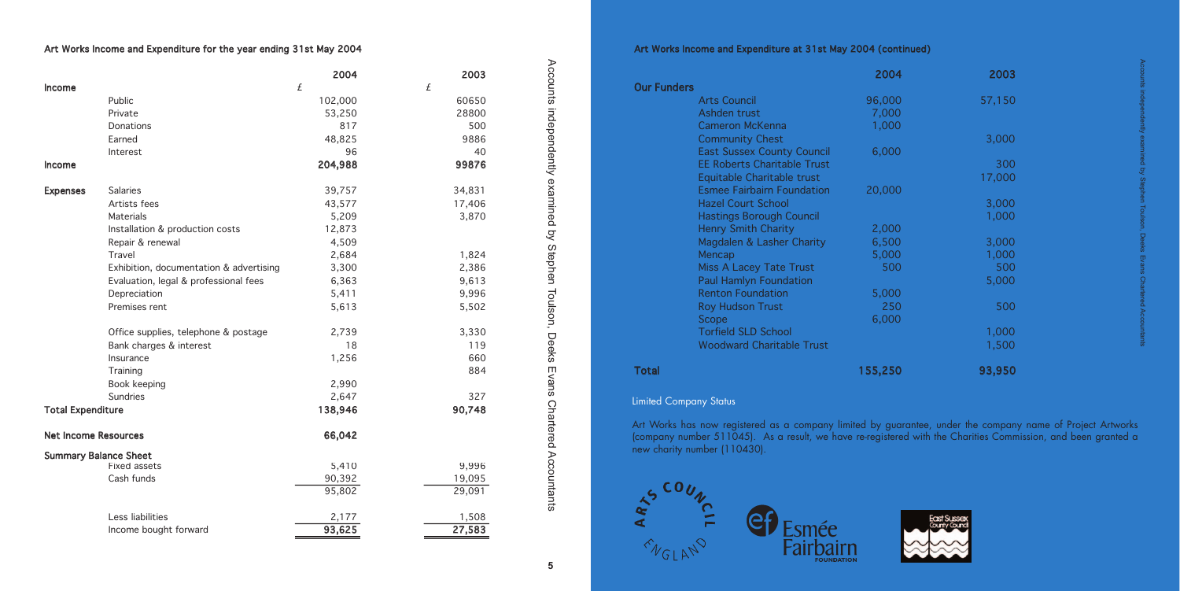#### Art Works Income and Expenditure at 31st May 2004 (continued)

|                                    | 2004    | 2003   |
|------------------------------------|---------|--------|
| <b>Our Funders</b>                 |         |        |
| <b>Arts Council</b>                | 96,000  | 57,150 |
| Ashden trust                       | 7,000   |        |
| <b>Cameron McKenna</b>             | 1,000   |        |
| <b>Community Chest</b>             |         | 3,000  |
| <b>East Sussex County Council</b>  | 6,000   |        |
| <b>EE Roberts Charitable Trust</b> |         | 300    |
| Equitable Charitable trust         |         | 17,000 |
| <b>Esmee Fairbairn Foundation</b>  | 20,000  |        |
| <b>Hazel Court School</b>          |         | 3,000  |
| <b>Hastings Borough Council</b>    |         | 1,000  |
| <b>Henry Smith Charity</b>         | 2,000   |        |
| Magdalen & Lasher Charity          | 6,500   | 3,000  |
| Mencap                             | 5,000   | 1,000  |
| <b>Miss A Lacey Tate Trust</b>     | 500     | 500    |
| <b>Paul Hamlyn Foundation</b>      |         | 5,000  |
| <b>Renton Foundation</b>           | 5,000   |        |
| <b>Roy Hudson Trust</b>            | 250     | 500    |
| Scope                              | 6,000   |        |
| <b>Torfield SLD School</b>         |         | 1,000  |
| <b>Woodward Charitable Trust</b>   |         | 1,500  |
| Total                              | 155,250 | 93,950 |
|                                    |         |        |

#### **Limited Company Status**

Art Works has now registered as a company limited by guarantee, under the company name of Project Artworks (company number 511045). As a result, we have re-registered with the Charities Commission, and been granted a new charity number (110430).







#### Art Works Income and Expenditure for the year ending 31st May 2004

|                              |                                         | 2004    | 2003   |
|------------------------------|-----------------------------------------|---------|--------|
| <b>Income</b>                |                                         | £       | £      |
|                              | Public                                  | 102,000 | 60650  |
|                              | Private                                 | 53,250  | 28800  |
|                              | Donations                               | 817     | 500    |
|                              | Earned                                  | 48,825  | 9886   |
|                              | Interest                                | 96      | 40     |
| <b>Income</b>                |                                         | 204,988 | 99876  |
| <b>Expenses</b>              | <b>Salaries</b>                         | 39,757  | 34,831 |
|                              | Artists fees                            | 43,577  | 17,406 |
|                              | Materials                               | 5,209   | 3,870  |
|                              | Installation & production costs         | 12,873  |        |
|                              | Repair & renewal                        | 4,509   |        |
|                              | Travel                                  | 2,684   | 1,824  |
|                              | Exhibition, documentation & advertising | 3,300   | 2,386  |
|                              | Evaluation, legal & professional fees   | 6,363   | 9,613  |
|                              | Depreciation                            | 5,411   | 9,996  |
|                              | Premises rent                           | 5,613   | 5,502  |
|                              | Office supplies, telephone & postage    | 2,739   | 3,330  |
|                              | Bank charges & interest                 | 18      | 119    |
|                              | Insurance                               | 1,256   | 660    |
|                              | Training                                |         | 884    |
|                              | Book keeping                            | 2,990   |        |
|                              | Sundries                                | 2,647   | 327    |
| <b>Total Expenditure</b>     |                                         | 138,946 | 90,748 |
| <b>Net Income Resources</b>  |                                         | 66,042  |        |
| <b>Summary Balance Sheet</b> |                                         |         |        |
|                              | Fixed assets                            | 5,410   | 9,996  |
|                              | Cash funds                              | 90,392  | 19,095 |
|                              |                                         | 95,802  | 29,091 |
|                              | Less liabilities                        | 2,177   | 1,508  |
|                              | Income bought forward                   | 93,625  | 27,583 |

Accounts independently examined by Stephen

Accounts independently examined by Stephen Toulson, Deeks Evans Chartered Accountants

Toulson, Deeks Evans Chartered Accountants